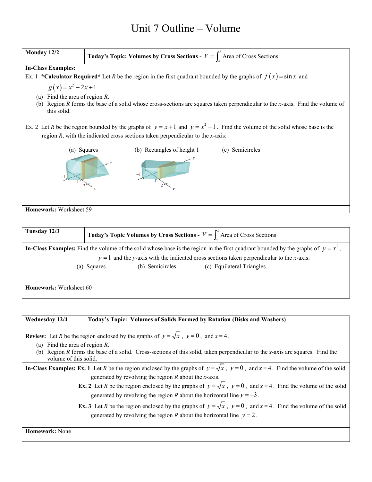## Unit 7 Outline – Volume



| Tuesday 12/3           | <b>Today's Topic Volumes by Cross Sections -</b> $V = \int_{0}^{b}$ Area of Cross Sections |                 |                                                                                                                                                                                                                                    |
|------------------------|--------------------------------------------------------------------------------------------|-----------------|------------------------------------------------------------------------------------------------------------------------------------------------------------------------------------------------------------------------------------|
|                        |                                                                                            |                 | In-Class Examples: Find the volume of the solid whose base is the region in the first quadrant bounded by the graphs of $y = x^2$ ,<br>$y = 1$ and the y-axis with the indicated cross sections taken perpendicular to the x-axis: |
|                        | (a) Squares                                                                                | (b) Semicircles | (c) Equilateral Triangles                                                                                                                                                                                                          |
| Homework: Worksheet 60 |                                                                                            |                 |                                                                                                                                                                                                                                    |

| Wednesday 12/4<br>Today's Topic: Volumes of Solids Formed by Rotation (Disks and Washers)                                                    |  |  |
|----------------------------------------------------------------------------------------------------------------------------------------------|--|--|
|                                                                                                                                              |  |  |
| <b>Review:</b> Let R be the region enclosed by the graphs of $y = \sqrt{x}$ , $y = 0$ , and $x = 4$ .                                        |  |  |
| Find the area of region $R$ .<br>(a)                                                                                                         |  |  |
| (b) Region $R$ forms the base of a solid. Cross-sections of this solid, taken perpendicular to the $x$ -axis are squares. Find the           |  |  |
| volume of this solid.                                                                                                                        |  |  |
| In-Class Examples: Ex. 1 Let R be the region enclosed by the graphs of $y = \sqrt{x}$ , $y = 0$ , and $x = 4$ . Find the volume of the solid |  |  |
| generated by revolving the region $R$ about the x-axis.                                                                                      |  |  |
| <b>Ex. 2</b> Let R be the region enclosed by the graphs of $y = \sqrt{x}$ , $y = 0$ , and $x = 4$ . Find the volume of the solid             |  |  |
| generated by revolving the region R about the horizontal line $y = -3$ .                                                                     |  |  |
| <b>Ex. 3</b> Let R be the region enclosed by the graphs of $y = \sqrt{x}$ , $y = 0$ , and $x = 4$ . Find the volume of the solid             |  |  |
| generated by revolving the region R about the horizontal line $y = 2$ .                                                                      |  |  |
|                                                                                                                                              |  |  |
| <b>Homework:</b> None                                                                                                                        |  |  |